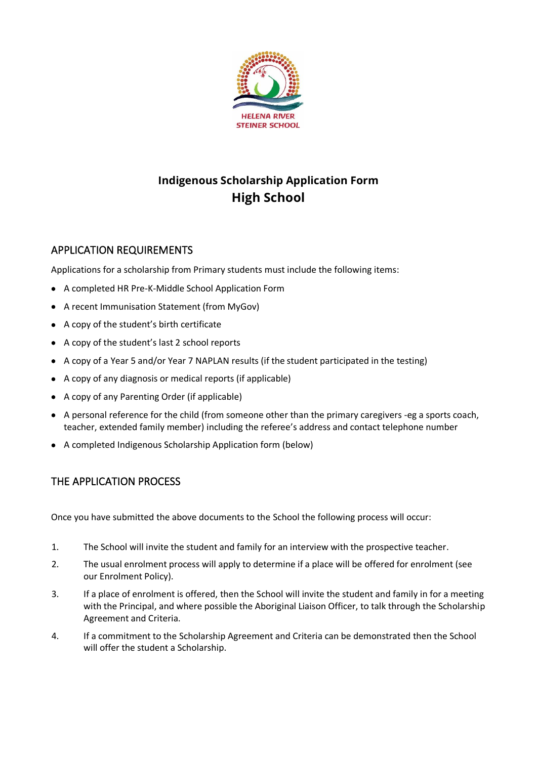

# **Indigenous Scholarship Application Form High School**

## APPLICATION REQUIREMENTS

Applications for a scholarship from Primary students must include the following items:

- A completed HR Pre-K-Middle School Application Form
- A recent Immunisation Statement (from MyGov)
- A copy of the student's birth certificate
- A copy of the student's last 2 school reports
- A copy of a Year 5 and/or Year 7 NAPLAN results (if the student participated in the testing)
- A copy of any diagnosis or medical reports (if applicable)
- A copy of any Parenting Order (if applicable)
- A personal reference for the child (from someone other than the primary caregivers -eg a sports coach, teacher, extended family member) including the referee's address and contact telephone number
- A completed Indigenous Scholarship Application form (below)

## THE APPLICATION PROCESS

Once you have submitted the above documents to the School the following process will occur:

- 1. The School will invite the student and family for an interview with the prospective teacher.
- 2. The usual enrolment process will apply to determine if a place will be offered for enrolment (see our Enrolment Policy).
- 3. If a place of enrolment is offered, then the School will invite the student and family in for a meeting with the Principal, and where possible the Aboriginal Liaison Officer, to talk through the Scholarship Agreement and Criteria.
- 4. If a commitment to the Scholarship Agreement and Criteria can be demonstrated then the School will offer the student a Scholarship.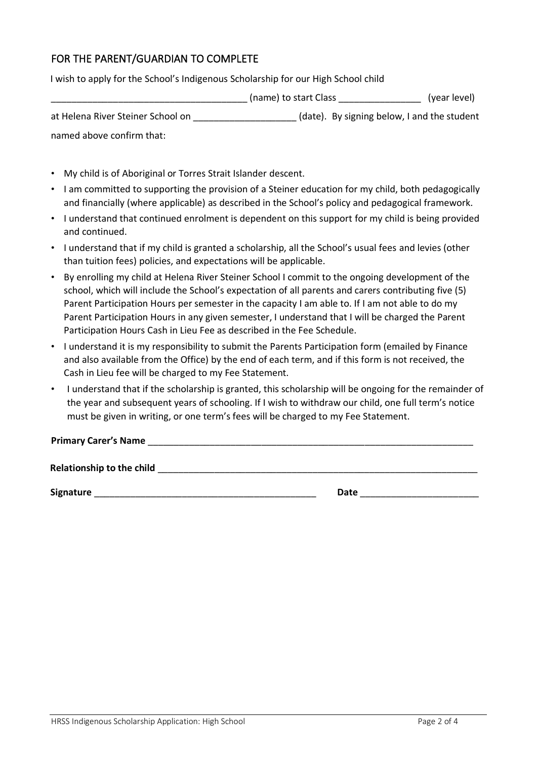# FOR THE PARENT/GUARDIAN TO COMPLETE

I wish to apply for the School's Indigenous Scholarship for our High School child

|                                   | (name) to start Class                       | (year level) |
|-----------------------------------|---------------------------------------------|--------------|
| at Helena River Steiner School on | (date). By signing below, I and the student |              |
| named above confirm that:         |                                             |              |

- My child is of Aboriginal or Torres Strait Islander descent.
- I am committed to supporting the provision of a Steiner education for my child, both pedagogically and financially (where applicable) as described in the School's policy and pedagogical framework.
- I understand that continued enrolment is dependent on this support for my child is being provided and continued.
- I understand that if my child is granted a scholarship, all the School's usual fees and levies (other than tuition fees) policies, and expectations will be applicable.
- By enrolling my child at Helena River Steiner School I commit to the ongoing development of the school, which will include the School's expectation of all parents and carers contributing five (5) Parent Participation Hours per semester in the capacity I am able to. If I am not able to do my Parent Participation Hours in any given semester, I understand that I will be charged the Parent Participation Hours Cash in Lieu Fee as described in the Fee Schedule.
- I understand it is my responsibility to submit the Parents Participation form (emailed by Finance and also available from the Office) by the end of each term, and if this form is not received, the Cash in Lieu fee will be charged to my Fee Statement.
- I understand that if the scholarship is granted, this scholarship will be ongoing for the remainder of the year and subsequent years of schooling. If I wish to withdraw our child, one full term's notice must be given in writing, or one term's fees will be charged to my Fee Statement.

**Primary Carer's Name** \_\_\_\_\_\_\_\_\_\_\_\_\_\_\_\_\_\_\_\_\_\_\_\_\_\_\_\_\_\_\_\_\_\_\_\_\_\_\_\_\_\_\_\_\_\_\_\_\_\_\_\_\_\_\_\_\_\_\_\_\_\_\_

Relationship to the child **and the child and the child and the child and the child and the child and the child and the child and the child and the child and the child and the child and the child and** 

**Signature** \_\_\_\_\_\_\_\_\_\_\_\_\_\_\_\_\_\_\_\_\_\_\_\_\_\_\_\_\_\_\_\_\_\_\_\_\_\_\_\_\_\_\_ **Date** \_\_\_\_\_\_\_\_\_\_\_\_\_\_\_\_\_\_\_\_\_\_\_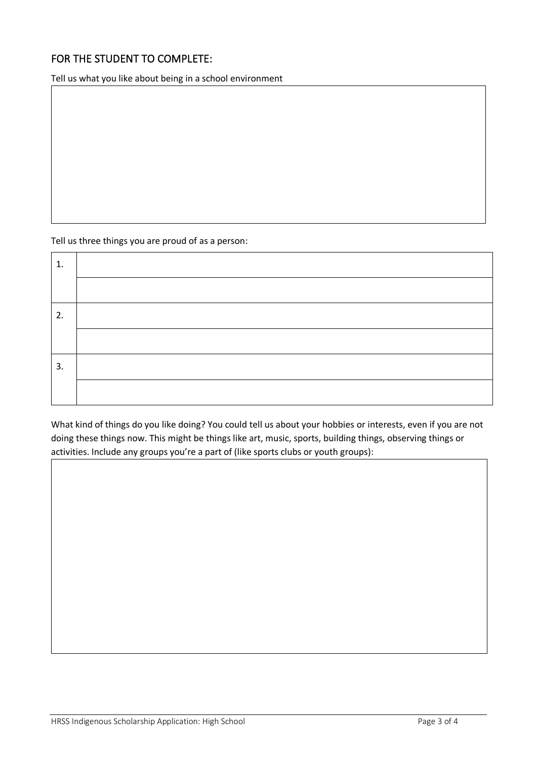# FOR THE STUDENT TO COMPLETE:

Tell us what you like about being in a school environment

### Tell us three things you are proud of as a person:

| ı. |  |
|----|--|
|    |  |
| 2. |  |
|    |  |
| 3. |  |
|    |  |

What kind of things do you like doing? You could tell us about your hobbies or interests, even if you are not doing these things now. This might be things like art, music, sports, building things, observing things or activities. Include any groups you're a part of (like sports clubs or youth groups):